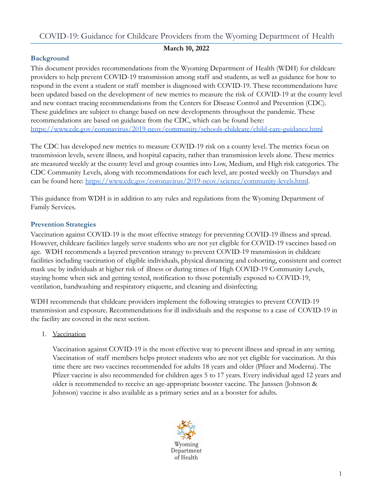# COVID-19: Guidance for Childcare Providers from the Wyoming Department of Health

#### **March 10, 2022**

# **Background**

This document provides recommendations from the Wyoming Department of Health (WDH) for childcare providers to help prevent COVID-19 transmission among staff and students, as well as guidance for how to respond in the event a student or staff member is diagnosed with COVID-19. These recommendations have been updated based on the development of new metrics to measure the risk of COVID-19 at the county level and new contact tracing recommendations from the Centers for Disease Control and Prevention (CDC). These guidelines are subject to change based on new developments throughout the pandemic. These recommendations are based on guidance from the CDC, which can be found here: <https://www.cdc.gov/coronavirus/2019-ncov/community/schools-childcare/child-care-guidance.html>

The CDC has developed new metrics to measure COVID-19 risk on a county level. The metrics focus on transmission levels, severe illness, and hospital capacity, rather than transmission levels alone. These metrics are measured weekly at the county level and group counties into Low, Medium, and High risk categories. The CDC Community Levels, along with recommendations for each level, are posted weekly on Thursdays and can be found here: <https://www.cdc.gov/coronavirus/2019-ncov/science/community-levels.html>.

This guidance from WDH is in addition to any rules and regulations from the Wyoming Department of Family Services.

## **Prevention Strategies**

Vaccination against COVID-19 is the most effective strategy for preventing COVID-19 illness and spread. However, childcare facilities largely serve students who are not yet eligible for COVID-19 vaccines based on age. WDH recommends a layered prevention strategy to prevent COVID-19 transmission in childcare facilities including vaccination of eligible individuals, physical distancing and cohorting, consistent and correct mask use by individuals at higher risk of illness or during times of High COVID-19 Community Levels, staying home when sick and getting tested, notification to those potentially exposed to COVID-19, ventilation, handwashing and respiratory etiquette, and cleaning and disinfecting.

WDH recommends that childcare providers implement the following strategies to prevent COVID-19 transmission and exposure. Recommendations for ill individuals and the response to a case of COVID-19 in the facility are covered in the next section.

1. Vaccination

Vaccination against COVID-19 is the most effective way to prevent illness and spread in any setting. Vaccination of staff members helps protect students who are not yet eligible for vaccination. At this time there are two vaccines recommended for adults 18 years and older (Pfizer and Moderna). The Pfizer vaccine is also recommended for children ages 5 to 17 years. Every individual aged 12 years and older is recommended to receive an age-appropriate booster vaccine. The Janssen (Johnson & Johnson) vaccine is also available as a primary series and as a booster for adults.

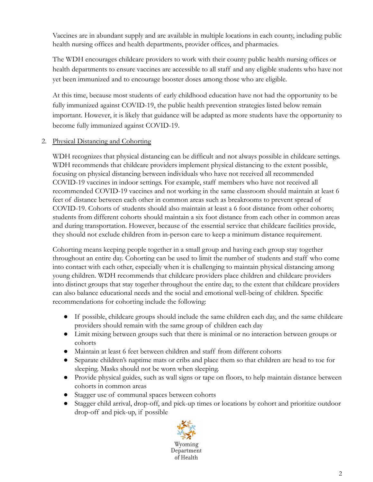Vaccines are in abundant supply and are available in multiple locations in each county, including public health nursing offices and health departments, provider offices, and pharmacies.

The WDH encourages childcare providers to work with their county public health nursing offices or health departments to ensure vaccines are accessible to all staff and any eligible students who have not yet been immunized and to encourage booster doses among those who are eligible.

At this time, because most students of early childhood education have not had the opportunity to be fully immunized against COVID-19, the public health prevention strategies listed below remain important. However, it is likely that guidance will be adapted as more students have the opportunity to become fully immunized against COVID-19.

#### 2. Physical Distancing and Cohorting

WDH recognizes that physical distancing can be difficult and not always possible in childcare settings. WDH recommends that childcare providers implement physical distancing to the extent possible, focusing on physical distancing between individuals who have not received all recommended COVID-19 vaccines in indoor settings. For example, staff members who have not received all recommended COVID-19 vaccines and not working in the same classroom should maintain at least 6 feet of distance between each other in common areas such as breakrooms to prevent spread of COVID-19. Cohorts of students should also maintain at least a 6 foot distance from other cohorts; students from different cohorts should maintain a six foot distance from each other in common areas and during transportation. However, because of the essential service that childcare facilities provide, they should not exclude children from in-person care to keep a minimum distance requirement.

Cohorting means keeping people together in a small group and having each group stay together throughout an entire day. Cohorting can be used to limit the number of students and staff who come into contact with each other, especially when it is challenging to maintain physical distancing among young children. WDH recommends that childcare providers place children and childcare providers into distinct groups that stay together throughout the entire day, to the extent that childcare providers can also balance educational needs and the social and emotional well-being of children. Specific recommendations for cohorting include the following:

- If possible, childcare groups should include the same children each day, and the same childcare providers should remain with the same group of children each day
- Limit mixing between groups such that there is minimal or no interaction between groups or cohorts
- Maintain at least 6 feet between children and staff from different cohorts
- Separate children's naptime mats or cribs and place them so that children are head to toe for sleeping. Masks should not be worn when sleeping.
- Provide physical guides, such as wall signs or tape on floors, to help maintain distance between cohorts in common areas
- Stagger use of communal spaces between cohorts
- Stagger child arrival, drop-off, and pick-up times or locations by cohort and prioritize outdoor drop-off and pick-up, if possible

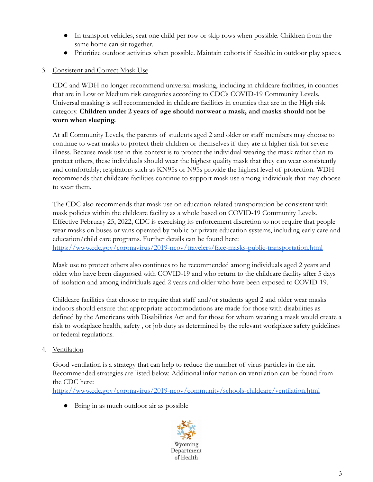- In transport vehicles, seat one child per row or skip rows when possible. Children from the same home can sit together.
- Prioritize outdoor activities when possible. Maintain cohorts if feasible in outdoor play spaces.

## 3. Consistent and Correct Mask Use

CDC and WDH no longer recommend universal masking, including in childcare facilities, in counties that are in Low or Medium risk categories according to CDC's COVID-19 Community Levels. Universal masking is still recommended in childcare facilities in counties that are in the High risk category. **Children under 2 years of age should notwear a mask, and masks should not be worn when sleeping.**

At all Community Levels, the parents of students aged 2 and older or staff members may choose to continue to wear masks to protect their children or themselves if they are at higher risk for severe illness. Because mask use in this context is to protect the individual wearing the mask rather than to protect others, these individuals should wear the highest quality mask that they can wear consistently and comfortably; respirators such as KN95s or N95s provide the highest level of protection. WDH recommends that childcare facilities continue to support mask use among individuals that may choose to wear them.

The CDC also recommends that mask use on education-related transportation be consistent with mask policies within the childcare facility as a whole based on COVID-19 Community Levels. Effective February 25, 2022, CDC is exercising its enforcement discretion to not require that people wear masks on buses or vans operated by public or private education systems, including early care and education/child care programs. Further details can be found here: <https://www.cdc.gov/coronavirus/2019-ncov/travelers/face-masks-public-transportation.html>

Mask use to protect others also continues to be recommended among individuals aged 2 years and older who have been diagnosed with COVID-19 and who return to the childcare facility after 5 days

of isolation and among individuals aged 2 years and older who have been exposed to COVID-19.

Childcare facilities that choose to require that staff and/or students aged 2 and older wear masks indoors should ensure that appropriate accommodations are made for those with disabilities as defined by the Americans with Disabilities Act and for those for whom wearing a mask would create a risk to workplace health, safety , or job duty as determined by the relevant workplace safety guidelines or federal regulations.

4. Ventilation

Good ventilation is a strategy that can help to reduce the number of virus particles in the air. Recommended strategies are listed below. Additional information on ventilation can be found from the CDC here:

<https://www.cdc.gov/coronavirus/2019-ncov/community/schools-childcare/ventilation.html>

● Bring in as much outdoor air as possible

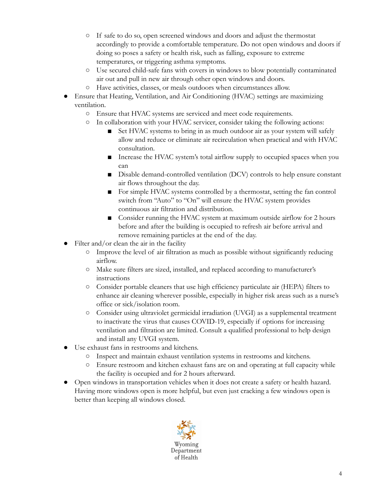- If safe to do so, open screened windows and doors and adjust the thermostat accordingly to provide a comfortable temperature. Do not open windows and doors if doing so poses a safety or health risk, such as falling, exposure to extreme temperatures, or triggering asthma symptoms.
- Use secured child-safe fans with covers in windows to blow potentially contaminated air out and pull in new air through other open windows and doors.
- Have activities, classes, or meals outdoors when circumstances allow.
- Ensure that Heating, Ventilation, and Air Conditioning (HVAC) settings are maximizing ventilation.
	- Ensure that HVAC systems are serviced and meet code requirements.
	- In collaboration with your HVAC servicer, consider taking the following actions:
		- Set HVAC systems to bring in as much outdoor air as your system will safely allow and reduce or eliminate air recirculation when practical and with HVAC consultation.
		- Increase the HVAC system's total airflow supply to occupied spaces when you can
		- Disable demand-controlled ventilation (DCV) controls to help ensure constant air flows throughout the day.
		- For simple HVAC systems controlled by a thermostat, setting the fan control switch from "Auto" to "On" will ensure the HVAC system provides continuous air filtration and distribution.
		- Consider running the HVAC system at maximum outside airflow for 2 hours before and after the building is occupied to refresh air before arrival and remove remaining particles at the end of the day.
- Filter and/or clean the air in the facility
	- Improve the level of air filtration as much as possible without significantly reducing airflow.
	- Make sure filters are sized, installed, and replaced according to manufacturer's instructions
	- Consider portable cleaners that use high efficiency particulate air (HEPA) filters to enhance air cleaning wherever possible, especially in higher risk areas such as a nurse's office or sick/isolation room.
	- Consider using ultraviolet germicidal irradiation (UVGI) as a supplemental treatment to inactivate the virus that causes COVID-19, especially if options for increasing ventilation and filtration are limited. Consult a qualified professional to help design and install any UVGI system.
- Use exhaust fans in restrooms and kitchens.
	- Inspect and maintain exhaust ventilation systems in restrooms and kitchens.
	- Ensure restroom and kitchen exhaust fans are on and operating at full capacity while the facility is occupied and for 2 hours afterward.
- Open windows in transportation vehicles when it does not create a safety or health hazard. Having more windows open is more helpful, but even just cracking a few windows open is better than keeping all windows closed.

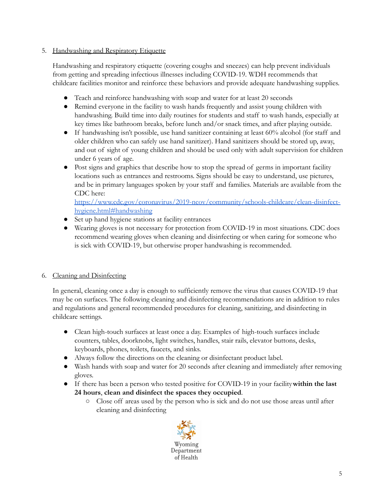## 5. Handwashing and Respiratory Etiquette

Handwashing and respiratory etiquette (covering coughs and sneezes) can help prevent individuals from getting and spreading infectious illnesses including COVID-19. WDH recommends that childcare facilities monitor and reinforce these behaviors and provide adequate handwashing supplies.

- Teach and reinforce handwashing with soap and water for at least 20 seconds
- Remind everyone in the facility to wash hands frequently and assist young children with handwashing. Build time into daily routines for students and staff to wash hands, especially at key times like bathroom breaks, before lunch and/or snack times, and after playing outside.
- If handwashing isn't possible, use hand sanitizer containing at least 60% alcohol (for staff and older children who can safely use hand sanitizer). Hand sanitizers should be stored up, away, and out of sight of young children and should be used only with adult supervision for children under 6 years of age.
- Post signs and graphics that describe how to stop the spread of germs in important facility locations such as entrances and restrooms. Signs should be easy to understand, use pictures, and be in primary languages spoken by your staff and families. Materials are available from the CDC here:

# [https://www.cdc.gov/coronavirus/2019-ncov/community/schools-childcare/clean-disinfect](https://www.cdc.gov/coronavirus/2019-ncov/community/schools-childcare/clean-disinfect-hygiene.html#handwashing)[hygiene.html#handwashing](https://www.cdc.gov/coronavirus/2019-ncov/community/schools-childcare/clean-disinfect-hygiene.html#handwashing)

- Set up hand hygiene stations at facility entrances
- Wearing gloves is not necessary for protection from COVID-19 in most situations. CDC does recommend wearing gloves when cleaning and disinfecting or when caring for someone who is sick with COVID-19, but otherwise proper handwashing is recommended.

# 6. Cleaning and Disinfecting

In general, cleaning once a day is enough to sufficiently remove the virus that causes COVID-19 that may be on surfaces. The following cleaning and disinfecting recommendations are in addition to rules and regulations and general recommended procedures for cleaning, sanitizing, and disinfecting in childcare settings.

- Clean high-touch surfaces at least once a day. Examples of high-touch surfaces include counters, tables, doorknobs, light switches, handles, stair rails, elevator buttons, desks, keyboards, phones, toilets, faucets, and sinks.
- Always follow the directions on the cleaning or disinfectant product label.
- Wash hands with soap and water for 20 seconds after cleaning and immediately after removing gloves.
- If there has been a person who tested positive for COVID-19 in your facility**within the last 24 hours**, **clean and disinfect the spaces they occupied**.
	- Close off areas used by the person who is sick and do not use those areas until after cleaning and disinfecting

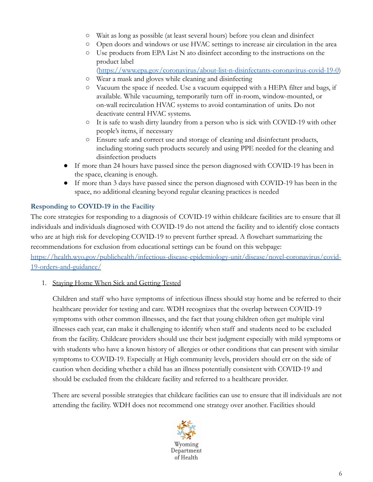- Wait as long as possible (at least several hours) before you clean and disinfect
- Open doors and windows or use HVAC settings to increase air circulation in the area
- Use products from EPA List N ato disinfect according to the instructions on the product label

(<https://www.epa.gov/coronavirus/about-list-n-disinfectants-coronavirus-covid-19-0>)

- Wear a mask and gloves while cleaning and disinfecting
- Vacuum the space if needed. Use a vacuum equipped with a HEPA filter and bags, if available. While vacuuming, temporarily turn off in-room, window-mounted, or on-wall recirculation HVAC systems to avoid contamination of units. Do not deactivate central HVAC systems.
- It is safe to wash dirty laundry from a person who is sick with COVID-19 with other people's items, if necessary
- Ensure safe and correct use and storage of cleaning and disinfectant products, including storing such products securely and using PPE needed for the cleaning and disinfection products
- If more than 24 hours have passed since the person diagnosed with COVID-19 has been in the space, cleaning is enough.
- If more than 3 days have passed since the person diagnosed with COVID-19 has been in the space, no additional cleaning beyond regular cleaning practices is needed

## **Responding to COVID-19 in the Facility**

The core strategies for responding to a diagnosis of COVID-19 within childcare facilities are to ensure that ill individuals and individuals diagnosed with COVID-19 do not attend the facility and to identify close contacts who are at high risk for developing COVID-19 to prevent further spread. A flowchart summarizing the recommendations for exclusion from educational settings can be found on this webpage:

[https://health.wyo.gov/publichealth/infectious-disease-epidemiology-unit/disease/novel-coronavirus/covid-](https://health.wyo.gov/publichealth/infectious-disease-epidemiology-unit/disease/novel-coronavirus/covid-19-orders-and-guidance/)[19-orders-and-guidance/](https://health.wyo.gov/publichealth/infectious-disease-epidemiology-unit/disease/novel-coronavirus/covid-19-orders-and-guidance/)

#### 1. Staying Home When Sick and Getting Tested

Children and staff who have symptoms of infectious illness should stay home and be referred to their healthcare provider for testing and care. WDH recognizes that the overlap between COVID-19 symptoms with other common illnesses, and the fact that young children often get multiple viral illnesses each year, can make it challenging to identify when staff and students need to be excluded from the facility. Childcare providers should use their best judgment especially with mild symptoms or with students who have a known history of allergies or other conditions that can present with similar symptoms to COVID-19. Especially at High community levels, providers should err on the side of caution when deciding whether a child has an illness potentially consistent with COVID-19 and should be excluded from the childcare facility and referred to a healthcare provider.

There are several possible strategies that childcare facilities can use to ensure that ill individuals are not attending the facility. WDH does not recommend one strategy over another. Facilities should

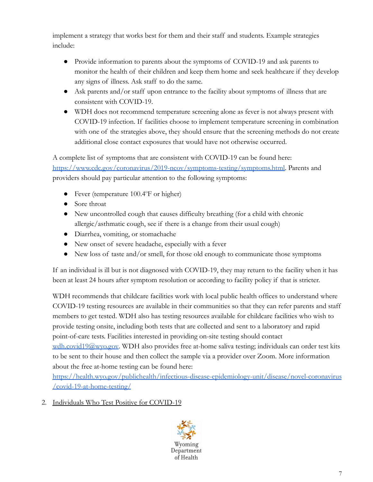implement a strategy that works best for them and their staff and students. Example strategies include:

- Provide information to parents about the symptoms of COVID-19 and ask parents to monitor the health of their children and keep them home and seek healthcare if they develop any signs of illness. Ask staff to do the same.
- Ask parents and/or staff upon entrance to the facility about symptoms of illness that are consistent with COVID-19.
- WDH does not recommend temperature screening alone as fever is not always present with COVID-19 infection. If facilities choose to implement temperature screening in combination with one of the strategies above, they should ensure that the screening methods do not create additional close contact exposures that would have not otherwise occurred.

A complete list of symptoms that are consistent with COVID-19 can be found here: [https://www.cdc.gov/coronavirus/2019-ncov/symptoms-testing/symptoms.html.](https://www.cdc.gov/coronavirus/2019-ncov/symptoms-testing/symptoms.html) Parents and providers should pay particular attention to the following symptoms:

- Fever (temperature 100.4°F or higher)
- Sore throat
- New uncontrolled cough that causes difficulty breathing (for a child with chronic allergic/asthmatic cough, see if there is a change from their usual cough)
- Diarrhea, vomiting, or stomachache
- New onset of severe headache, especially with a fever
- New loss of taste and/or smell, for those old enough to communicate those symptoms

If an individual is ill but is not diagnosed with COVID-19, they may return to the facility when it has been at least 24 hours after symptom resolution or according to facility policy if that is stricter.

WDH recommends that childcare facilities work with local public health offices to understand where COVID-19 testing resources are available in their communities so that they can refer parents and staff members to get tested. WDH also has testing resources available for childcare facilities who wish to provide testing onsite, including both tests that are collected and sent to a laboratory and rapid point-of-care tests. Facilities interested in providing on-site testing should contact [wdh.covid19@wyo.gov.](mailto:wdh.covid19@wyo.gov) WDH also provides free at-home saliva testing; individuals can order test kits to be sent to their house and then collect the sample via a provider over Zoom. More information about the free at-home testing can be found here:

[https://health.wyo.gov/publichealth/infectious-disease-epidemiology-unit/disease/novel-coronavirus](https://health.wyo.gov/publichealth/infectious-disease-epidemiology-unit/disease/novel-coronavirus/covid-19-at-home-testing/) [/covid-19-at-home-testing/](https://health.wyo.gov/publichealth/infectious-disease-epidemiology-unit/disease/novel-coronavirus/covid-19-at-home-testing/)

2. Individuals Who Test Positive for COVID-19

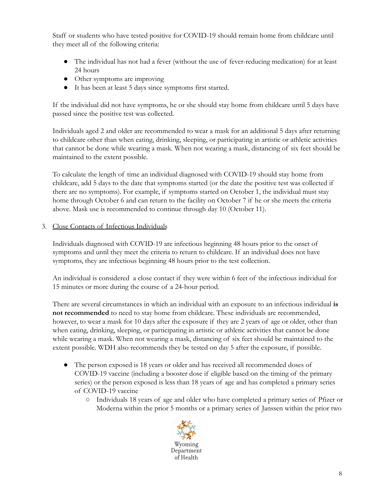Staff or students who have tested positive for COVID-19 should remain home from childcare until they meet all of the following criteria:

- The individual has not had a fever (without the use of fever-reducing medication) for at least 24 hours
- Other symptoms are improving
- It has been at least 5 days since symptoms first started.

If the individual did not have symptoms, he or she should stay home from childcare until 5 days have passed since the positive test was collected.

Individuals aged 2 and older are recommended to wear a mask for an additional 5 days after returning to childcare other than when eating, drinking, sleeping, or participating in artistic or athletic activities that cannot be done while wearing a mask. When not wearing a mask, distancing of six feet should be maintained to the extent possible.

To calculate the length of time an individual diagnosed with COVID-19 should stay home from childcare, add 5 days to the date that symptoms started (or the date the positive test was collected if there are no symptoms). For example, if symptoms started on October 1, the individual must stay home through October 6 and can return to the facility on October 7 if he or she meets the criteria above. Mask use is recommended to continue through day 10 (October 11).

3. Close Contacts of Infectious Individuals

Individuals diagnosed with COVID-19 are infectious beginning 48 hours prior to the onset of symptoms and until they meet the criteria to return to childcare. If an individual does not have symptoms, they are infectious beginning 48 hours prior to the test collection.

An individual is considered a close contact if they were within 6 feet of the infectious individual for 15 minutes or more during the course of a 24-hour period.

There are several circumstances in which an individual with an exposure to an infectious individual **is not recommended** to need to stay home from childcare. These individuals are recommended, however, to wear a mask for 10 days after the exposure if they are 2 years of age or older, other than when eating, drinking, sleeping, or participating in artistic or athletic activities that cannot be done while wearing a mask. When not wearing a mask, distancing of six feet should be maintained to the extent possible. WDH also recommends they be tested on day 5 after the exposure, if possible.

- The person exposed is 18 years or older and has received all recommended doses of COVID-19 vaccine (including a booster dose if eligible based on the timing of the primary series) or the person exposed is less than 18 years of age and has completed a primary series of COVID-19 vaccine
	- Individuals 18 years of age and older who have completed a primary series of Pfizer or Moderna within the prior 5 months or a primary series of Janssen within the prior two

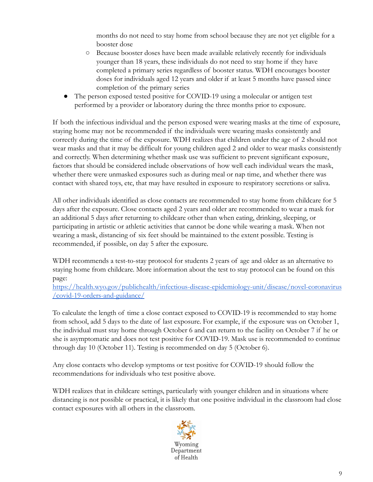months do not need to stay home from school because they are not yet eligible for a booster dose

- Because booster doses have been made available relatively recently for individuals younger than 18 years, these individuals do not need to stay home if they have completed a primary series regardless of booster status. WDH encourages booster doses for individuals aged 12 years and older if at least 5 months have passed since completion of the primary series
- The person exposed tested positive for COVID-19 using a molecular or antigen test performed by a provider or laboratory during the three months prior to exposure.

If both the infectious individual and the person exposed were wearing masks at the time of exposure, staying home may not be recommended if the individuals were wearing masks consistently and correctly during the time of the exposure. WDH realizes that children under the age of 2 should not wear masks and that it may be difficult for young children aged 2 and older to wear masks consistently and correctly. When determining whether mask use was sufficient to prevent significant exposure, factors that should be considered include observations of how well each individual wears the mask, whether there were unmasked exposures such as during meal or nap time, and whether there was contact with shared toys, etc, that may have resulted in exposure to respiratory secretions or saliva.

All other individuals identified as close contacts are recommended to stay home from childcare for 5 days after the exposure. Close contacts aged 2 years and older are recommended to wear a mask for an additional 5 days after returning to childcare other than when eating, drinking, sleeping, or participating in artistic or athletic activities that cannot be done while wearing a mask. When not wearing a mask, distancing of six feet should be maintained to the extent possible. Testing is recommended, if possible, on day 5 after the exposure.

WDH recommends a test-to-stay protocol for students 2 years of age and older as an alternative to staying home from childcare. More information about the test to stay protocol can be found on this page:

[https://health.wyo.gov/publichealth/infectious-disease-epidemiology-unit/disease/novel-coronavirus](https://health.wyo.gov/publichealth/infectious-disease-epidemiology-unit/disease/novel-coronavirus/covid-19-orders-and-guidance/) [/covid-19-orders-and-guidance/](https://health.wyo.gov/publichealth/infectious-disease-epidemiology-unit/disease/novel-coronavirus/covid-19-orders-and-guidance/)

To calculate the length of time a close contact exposed to COVID-19 is recommended to stay home from school, add 5 days to the date of last exposure. For example, if the exposure was on October 1, the individual must stay home through October 6 and can return to the facility on October 7 if he or she is asymptomatic and does not test positive for COVID-19. Mask use is recommended to continue through day 10 (October 11). Testing is recommended on day 5 (October 6).

Any close contacts who develop symptoms or test positive for COVID-19 should follow the recommendations for individuals who test positive above.

WDH realizes that in childcare settings, particularly with younger children and in situations where distancing is not possible or practical, it is likely that one positive individual in the classroom had close contact exposures with all others in the classroom.

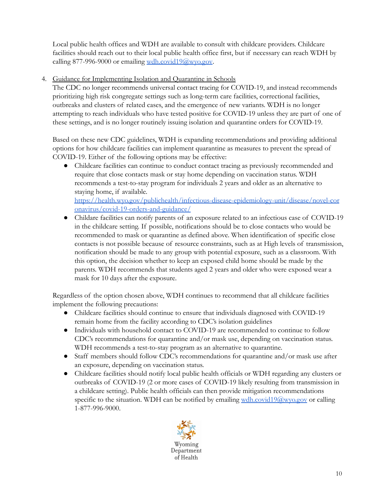Local public health offices and WDH are available to consult with childcare providers. Childcare facilities should reach out to their local public health office first, but if necessary can reach WDH by calling 877-996-9000 or emailing  $\underline{\text{wdh.covid19@wyo.gov}}$  $\underline{\text{wdh.covid19@wyo.gov}}$  $\underline{\text{wdh.covid19@wyo.gov}}$ .

4. Guidance for Implementing Isolation and Quarantine in Schools

The CDC no longer recommends universal contact tracing for COVID-19, and instead recommends prioritizing high risk congregate settings such as long-term care facilities, correctional facilities, outbreaks and clusters of related cases, and the emergence of new variants. WDH is no longer attempting to reach individuals who have tested positive for COVID-19 unless they are part of one of these settings, and is no longer routinely issuing isolation and quarantine orders for COVID-19.

Based on these new CDC guidelines, WDH is expanding recommendations and providing additional options for how childcare facilities can implement quarantine as measures to prevent the spread of COVID-19. Either of the following options may be effective:

Childcare facilities can continue to conduct contact tracing as previously recommended and require that close contacts mask or stay home depending on vaccination status. WDH recommends a test-to-stay program for individuals 2 years and older as an alternative to staying home, if available.

[https://health.wyo.gov/publichealth/infectious-disease-epidemiology-unit/disease/novel-cor](https://health.wyo.gov/publichealth/infectious-disease-epidemiology-unit/disease/novel-coronavirus/covid-19-orders-and-guidance/) [onavirus/covid-19-orders-and-guidance/](https://health.wyo.gov/publichealth/infectious-disease-epidemiology-unit/disease/novel-coronavirus/covid-19-orders-and-guidance/)

● Childare facilities can notify parents of an exposure related to an infectious case of COVID-19 in the childcare setting. If possible, notifications should be to close contacts who would be recommended to mask or quarantine as defined above. When identification of specific close contacts is not possible because of resource constraints, such as at High levels of transmission, notification should be made to any group with potential exposure, such as a classroom. With this option, the decision whether to keep an exposed child home should be made by the parents. WDH recommends that students aged 2 years and older who were exposed wear a mask for 10 days after the exposure.

Regardless of the option chosen above, WDH continues to recommend that all childcare facilities implement the following precautions:

- Childcare facilities should continue to ensure that individuals diagnosed with COVID-19 remain home from the facility according to CDC's isolation guidelines
- Individuals with household contact to COVID-19 are recommended to continue to follow CDC's recommendations for quarantine and/or mask use, depending on vaccination status. WDH recommends a test-to-stay program as an alternative to quarantine.
- Staff members should follow CDC's recommendations for quarantine and/or mask use after an exposure, depending on vaccination status.
- Childcare facilities should notify local public health officials or WDH regarding any clusters or outbreaks of COVID-19 (2 or more cases of COVID-19 likely resulting from transmission in a childcare setting). Public health officials can then provide mitigation recommendations specific to the situation. WDH can be notified by emailing  $\underline{wdh.covid19@wvo.gov}$  or calling 1-877-996-9000.